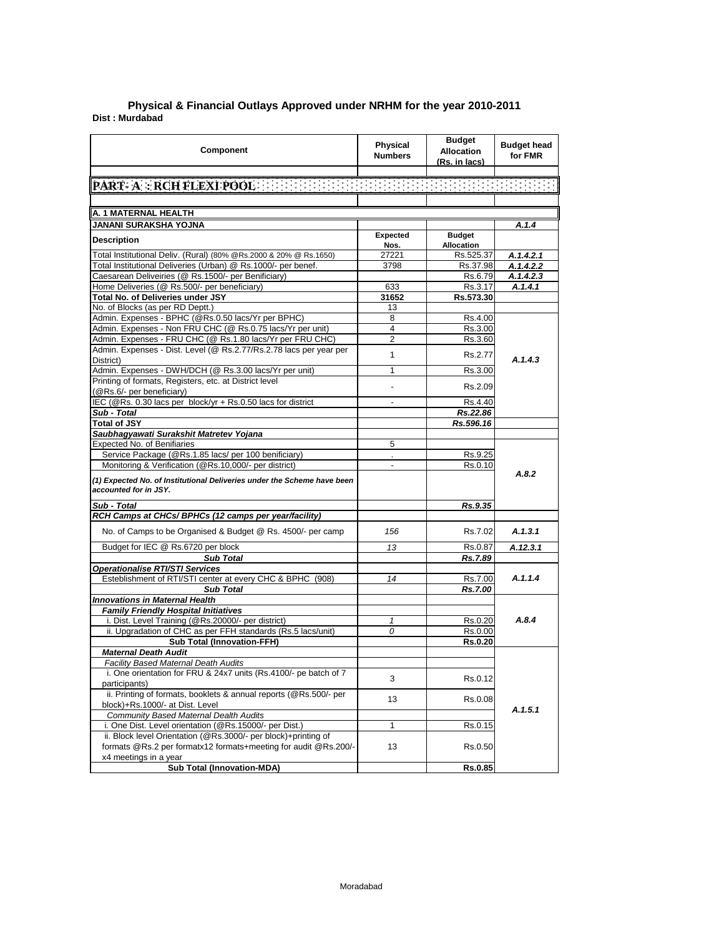## **Dist : Murdabad Physical & Financial Outlays Approved under NRHM for the year 2010-2011**

| <b>Component</b>                                                                                                                | Physical<br><b>Numbers</b>       | <b>Budget</b><br><b>Allocation</b><br>(Rs. in lacs) | <b>Budget head</b><br>for FMR |
|---------------------------------------------------------------------------------------------------------------------------------|----------------------------------|-----------------------------------------------------|-------------------------------|
| PART A : RCH FLEXI POOL EN FREEDER FREEDER FREEDER FREEDER                                                                      |                                  |                                                     |                               |
|                                                                                                                                 |                                  |                                                     |                               |
| A. 1 MATERNAL HEALTH                                                                                                            |                                  |                                                     |                               |
| JANANI SURAKSHA YOJNA                                                                                                           |                                  |                                                     | A.1.4                         |
|                                                                                                                                 | Expected                         | <b>Budget</b>                                       |                               |
| <b>Description</b>                                                                                                              | Nos.                             | <b>Allocation</b>                                   |                               |
| Total Institutional Deliv. (Rural) (80% @Rs.2000 & 20% @ Rs.1650)                                                               | 27221                            | Rs.525.37                                           | A.1.4.2.1                     |
| Total Institutional Deliveries (Urban) @ Rs.1000/- per benef.                                                                   | 3798                             | Rs.37.98                                            | A.1.4.2.2                     |
| Caesarean Deliveiries (@ Rs.1500/- per Benificiary)                                                                             |                                  | Rs.6.79                                             | A.1.4.2.3                     |
| Home Deliveries (@ Rs.500/- per beneficiary)                                                                                    | 633                              | Rs 3.17                                             | A.1.4.1                       |
| Total No. of Deliveries under JSY                                                                                               | 31652                            | Rs.573.30                                           |                               |
| No. of Blocks (as per RD Deptt.)                                                                                                | 13                               |                                                     |                               |
| Admin. Expenses - BPHC (@Rs.0.50 lacs/Yr per BPHC)                                                                              | 8                                | Rs.4.00                                             |                               |
| Admin. Expenses - Non FRU CHC (@ Rs.0.75 lacs/Yr per unit)                                                                      | $\overline{4}$<br>$\overline{2}$ | Rs.3.00<br>Rs.3.60                                  |                               |
| Admin. Expenses - FRU CHC (@ Rs.1.80 lacs/Yr per FRU CHC)<br>Admin. Expenses - Dist. Level (@ Rs.2.77/Rs.2.78 lacs per year per |                                  |                                                     |                               |
| District)                                                                                                                       | 1                                | Rs.2.77                                             | A.1.4.3                       |
| Admin. Expenses - DWH/DCH (@ Rs.3.00 lacs/Yr per unit)                                                                          | 1                                | Rs.3.00                                             |                               |
| Printing of formats, Registers, etc. at District level                                                                          |                                  |                                                     |                               |
| (@Rs.6/- per beneficiary)                                                                                                       |                                  | Rs.2.09                                             |                               |
| IEC (@Rs. 0.30 lacs per block/yr + Rs.0.50 lacs for district                                                                    |                                  | Rs.4.40                                             |                               |
| Sub - Total                                                                                                                     |                                  | Rs.22.86                                            |                               |
| <b>Total of JSY</b>                                                                                                             |                                  | Rs.596.16                                           |                               |
| Saubhagyawati Surakshit Matretev Yojana                                                                                         |                                  |                                                     |                               |
| Expected No. of Benifiaries                                                                                                     | 5                                |                                                     |                               |
| Service Package (@Rs.1.85 lacs/ per 100 benificiary)                                                                            |                                  | Rs.9.25                                             |                               |
| Monitoring & Verification (@Rs.10,000/- per district)                                                                           |                                  | Rs.0.10                                             | A.8.2                         |
| (1) Expected No. of Institutional Deliveries under the Scheme have been<br>accounted for in JSY.                                |                                  |                                                     |                               |
| Sub - Total                                                                                                                     |                                  | Rs.9.35                                             |                               |
| RCH Camps at CHCs/ BPHCs (12 camps per year/facility)                                                                           |                                  |                                                     |                               |
| No. of Camps to be Organised & Budget @ Rs. 4500/- per camp                                                                     | 156                              | Rs.7.02                                             | A.1.3.1                       |
| Budget for IEC @ Rs.6720 per block                                                                                              | 13                               | Rs 0.87                                             | A.12.3.1                      |
| <b>Sub Total</b>                                                                                                                |                                  | Rs.7.89                                             |                               |
| <b>Operationalise RTI/STI Services</b>                                                                                          |                                  |                                                     |                               |
| Esteblishment of RTI/STI center at every CHC & BPHC (908)                                                                       | 14                               | Rs.7.00                                             | A.1.1.4                       |
| <b>Sub Total</b>                                                                                                                |                                  | Rs.7.00                                             |                               |
| <b>Innovations in Maternal Health</b>                                                                                           |                                  |                                                     |                               |
| <b>Family Friendly Hospital Initiatives</b>                                                                                     |                                  | Rs.0.20                                             | A.8.4                         |
| i. Dist. Level Training (@Rs.20000/- per district)<br>ii. Upgradation of CHC as per FFH standards (Rs.5 lacs/unit)              | $\mathbf{1}$<br>0                | Rs 0.00                                             |                               |
| <b>Sub Total (Innovation-FFH)</b>                                                                                               |                                  | <b>Rs.0.20</b>                                      |                               |
| <b>Maternal Death Audit</b>                                                                                                     |                                  |                                                     |                               |
| <b>Facility Based Maternal Death Audits</b>                                                                                     |                                  |                                                     |                               |
| i. One orientation for FRU & 24x7 units (Rs.4100/- pe batch of 7                                                                |                                  |                                                     |                               |
| participants)                                                                                                                   | 3                                | Rs.0.12                                             |                               |
| ii. Printing of formats, booklets & annual reports (@Rs.500/- per                                                               | 13                               |                                                     |                               |
| block)+Rs.1000/- at Dist. Level                                                                                                 |                                  | Rs.0.08                                             | A.1.5.1                       |
| <b>Community Based Maternal Dealth Audits</b>                                                                                   |                                  |                                                     |                               |
| i. One Dist. Level orientation (@Rs.15000/- per Dist.)                                                                          | 1                                | Rs.0.15                                             |                               |
| ii. Block level Orientation (@Rs.3000/- per block)+printing of                                                                  |                                  |                                                     |                               |
| formats @Rs.2 per formatx12 formats+meeting for audit @Rs.200/-                                                                 | 13                               | Rs.0.50                                             |                               |
| x4 meetings in a year                                                                                                           |                                  |                                                     |                               |
| <b>Sub Total (Innovation-MDA)</b>                                                                                               |                                  | Rs.0.85                                             |                               |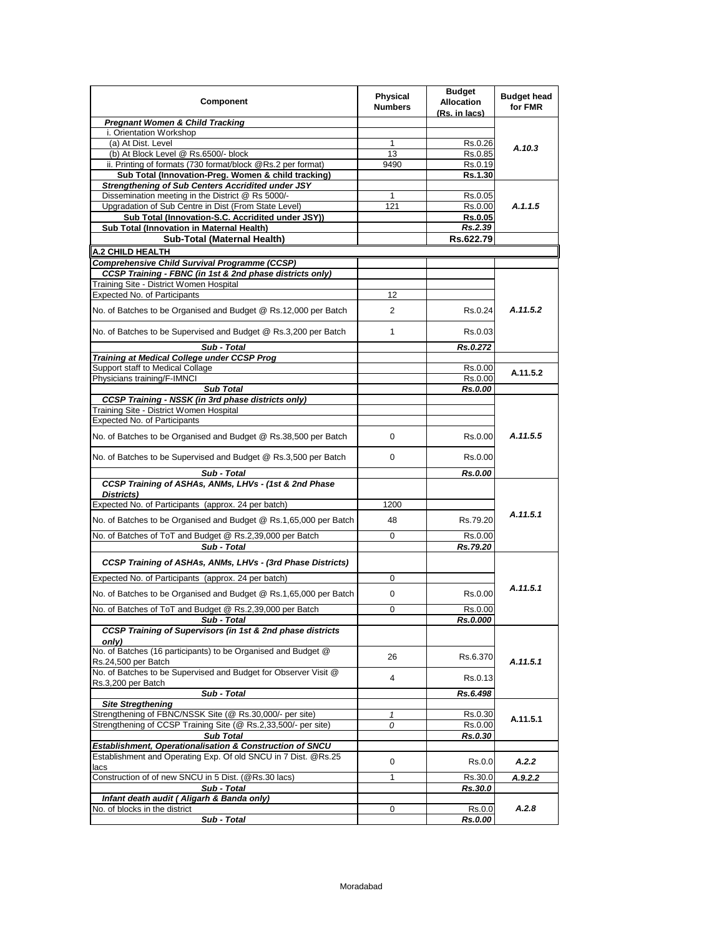| Component                                                                                                       | <b>Physical</b><br><b>Numbers</b> | <b>Budget</b><br><b>Allocation</b><br>(Rs. in lacs) | <b>Budget head</b><br>for FMR |
|-----------------------------------------------------------------------------------------------------------------|-----------------------------------|-----------------------------------------------------|-------------------------------|
| <b>Pregnant Women &amp; Child Tracking</b>                                                                      |                                   |                                                     |                               |
| i. Orientation Workshop                                                                                         |                                   |                                                     |                               |
| (a) At Dist. Level                                                                                              | 1                                 | Rs.0.26                                             | A.10.3                        |
| (b) At Block Level @ Rs.6500/- block                                                                            | 13                                | Rs.0.85                                             |                               |
| ii. Printing of formats (730 format/block @Rs.2 per format)                                                     | 9490                              | Rs.0.19                                             |                               |
| Sub Total (Innovation-Preg. Women & child tracking)<br><b>Strengthening of Sub Centers Accridited under JSY</b> |                                   | Rs.1.30                                             |                               |
| Dissemination meeting in the District @ Rs 5000/-                                                               | 1                                 | Rs.0.05                                             |                               |
| Upgradation of Sub Centre in Dist (From State Level)                                                            | 121                               | Rs.0.00                                             | A.1.1.5                       |
| Sub Total (Innovation-S.C. Accridited under JSY))                                                               |                                   | Rs.0.05                                             |                               |
| Sub Total (Innovation in Maternal Health)                                                                       |                                   | Rs.2.39                                             |                               |
| Sub-Total (Maternal Health)                                                                                     |                                   | Rs.622.79                                           |                               |
| A.2 CHILD HEALTH                                                                                                |                                   |                                                     |                               |
| Comprehensive Child Survival Programme (CCSP)                                                                   |                                   |                                                     |                               |
| CCSP Training - FBNC (in 1st & 2nd phase districts only)                                                        |                                   |                                                     |                               |
| Training Site - District Women Hospital                                                                         |                                   |                                                     |                               |
| Expected No. of Participants                                                                                    | 12                                |                                                     |                               |
| No. of Batches to be Organised and Budget @ Rs.12,000 per Batch                                                 | $\overline{2}$                    | Rs.0.24                                             | A.11.5.2                      |
| No. of Batches to be Supervised and Budget @ Rs.3,200 per Batch                                                 | 1                                 | Rs 0.03                                             |                               |
| Sub - Total                                                                                                     |                                   | Rs.0.272                                            |                               |
| Training at Medical College under CCSP Prog                                                                     |                                   |                                                     |                               |
| Support staff to Medical Collage                                                                                |                                   | Rs.0.00                                             | A.11.5.2                      |
| Physicians training/F-IMNCI                                                                                     |                                   | Rs.0.00                                             |                               |
| <b>Sub Total</b>                                                                                                |                                   | Rs.0.00                                             |                               |
| <b>CCSP Training - NSSK (in 3rd phase districts only)</b>                                                       |                                   |                                                     |                               |
| Training Site - District Women Hospital                                                                         |                                   |                                                     |                               |
| Expected No. of Participants                                                                                    |                                   |                                                     |                               |
| No. of Batches to be Organised and Budget @ Rs.38,500 per Batch                                                 | 0                                 | Rs.0.00                                             | A.11.5.5                      |
| No. of Batches to be Supervised and Budget @ Rs.3,500 per Batch                                                 | 0                                 | Rs 0.00                                             |                               |
| Sub - Total                                                                                                     |                                   | Rs.0.00                                             |                               |
| CCSP Training of ASHAs, ANMs, LHVs - (1st & 2nd Phase                                                           |                                   |                                                     |                               |
| Districts)                                                                                                      |                                   |                                                     |                               |
| Expected No. of Participants (approx. 24 per batch)                                                             | 1200                              |                                                     | A.11.5.1                      |
| No. of Batches to be Organised and Budget @ Rs.1,65,000 per Batch                                               | 48                                | Rs.79.20                                            |                               |
| No. of Batches of ToT and Budget @ Rs.2,39,000 per Batch                                                        | 0                                 | Rs.0.00                                             |                               |
| Sub - Total                                                                                                     |                                   | Rs.79.20                                            |                               |
|                                                                                                                 |                                   |                                                     |                               |
| CCSP Training of ASHAs, ANMs, LHVs - (3rd Phase Districts)                                                      |                                   |                                                     |                               |
| Expected No. of Participants (approx. 24 per batch)                                                             | 0                                 |                                                     |                               |
| No. of Batches to be Organised and Budget @ Rs.1,65,000 per Batch                                               | 0                                 | Rs 0.00                                             | A.11.5.1                      |
| No. of Batches of ToT and Budget @ Rs.2,39,000 per Batch                                                        | $\mathbf 0$                       | Rs.0.00                                             |                               |
| Sub - Total                                                                                                     |                                   | Rs.0.000                                            |                               |
| CCSP Training of Supervisors (in 1st & 2nd phase districts<br>only)                                             |                                   |                                                     |                               |
| No. of Batches (16 participants) to be Organised and Budget @<br>Rs.24,500 per Batch                            | 26                                | Rs.6.370                                            | A.11.5.1                      |
| No. of Batches to be Supervised and Budget for Observer Visit @<br>Rs.3,200 per Batch                           | 4                                 | Rs.0.13                                             |                               |
| Sub - Total                                                                                                     |                                   | Rs.6.498                                            |                               |
| <b>Site Stregthening</b>                                                                                        |                                   |                                                     |                               |
| Strengthening of FBNC/NSSK Site (@ Rs.30,000/- per site)                                                        | 1                                 | Rs.0.30                                             | A.11.5.1                      |
| Strengthening of CCSP Training Site (@ Rs.2,33,500/- per site)                                                  | 0                                 | Rs.0.00                                             |                               |
| <b>Sub Total</b>                                                                                                |                                   | Rs.0.30                                             |                               |
| Establishment, Operationalisation & Construction of SNCU                                                        |                                   |                                                     |                               |
| Establishment and Operating Exp. Of old SNCU in 7 Dist. @Rs.25<br>lacs                                          | 0                                 | Rs.0.0                                              | A.2.2                         |
| Construction of of new SNCU in 5 Dist. (@Rs.30 lacs)                                                            | 1                                 | Rs.30.0                                             | A.9.2.2                       |
| Sub - Total                                                                                                     |                                   | Rs.30.0                                             |                               |
| Infant death audit ( Aligarh & Banda only)                                                                      |                                   |                                                     |                               |
| No. of blocks in the district<br>Sub - Total                                                                    | 0                                 | Rs.0.0<br>Rs.0.00                                   | A.2.8                         |
|                                                                                                                 |                                   |                                                     |                               |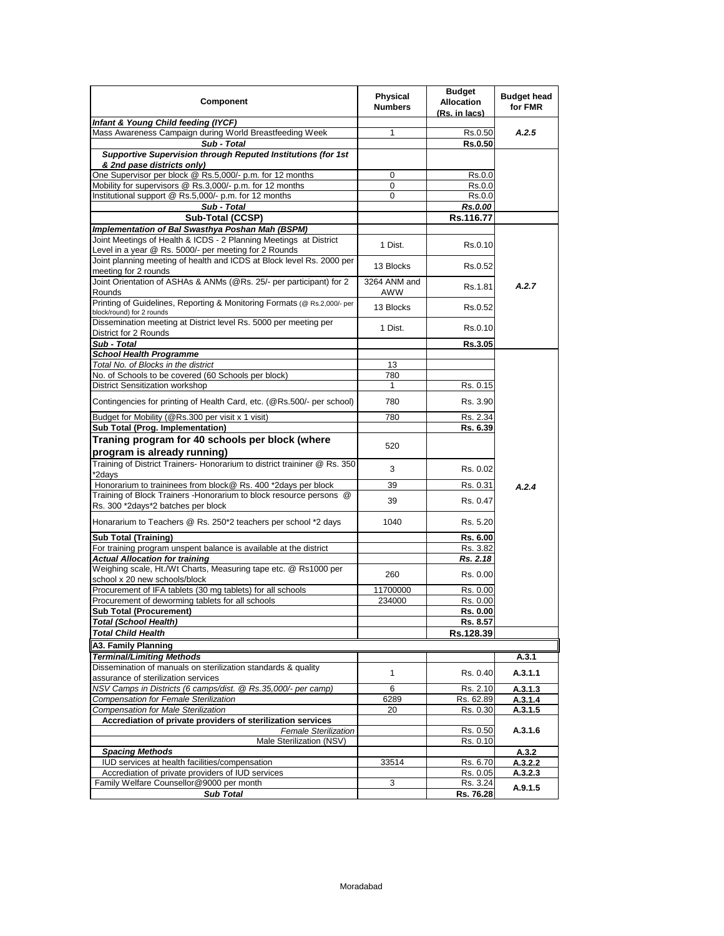| Component                                                                                                                  | Physical<br><b>Numbers</b> | <b>Budget</b><br><b>Allocation</b><br>(Rs. in lacs) | <b>Budget head</b><br>for FMR |
|----------------------------------------------------------------------------------------------------------------------------|----------------------------|-----------------------------------------------------|-------------------------------|
| Infant & Young Child feeding (IYCF)                                                                                        |                            |                                                     |                               |
| Mass Awareness Campaign during World Breastfeeding Week                                                                    | 1                          | Rs.0.50                                             | A.2.5                         |
| Sub - Total                                                                                                                |                            | Rs.0.50                                             |                               |
| Supportive Supervision through Reputed Institutions (for 1st<br>& 2nd pase districts only)                                 |                            |                                                     |                               |
| One Supervisor per block @ Rs.5,000/- p.m. for 12 months                                                                   | 0                          | Rs.0.0                                              |                               |
| Mobility for supervisors @ Rs.3,000/- p.m. for 12 months                                                                   | 0                          | Rs.0.0                                              |                               |
| Institutional support @ Rs.5,000/- p.m. for 12 months                                                                      | 0                          | Rs.0.0                                              |                               |
| Sub - Total                                                                                                                |                            | <b>Rs.0.00</b>                                      |                               |
| Sub-Total (CCSP)                                                                                                           |                            | Rs.116.77                                           |                               |
| Implementation of Bal Swasthya Poshan Mah (BSPM)                                                                           |                            |                                                     |                               |
| Joint Meetings of Health & ICDS - 2 Planning Meetings at District<br>Level in a year @ Rs. 5000/- per meeting for 2 Rounds | 1 Dist.                    | Rs.0.10                                             |                               |
| Joint planning meeting of health and ICDS at Block level Rs. 2000 per                                                      |                            |                                                     |                               |
| meeting for 2 rounds                                                                                                       | 13 Blocks                  | Rs.0.52                                             |                               |
| Joint Orientation of ASHAs & ANMs (@Rs. 25/- per participant) for 2                                                        | 3264 ANM and               |                                                     |                               |
| Rounds                                                                                                                     | AWW                        | Rs 1.81                                             | A.2.7                         |
| Printing of Guidelines, Reporting & Monitoring Formats (@ Rs.2,000/- per<br>block/round) for 2 rounds                      | 13 Blocks                  | Rs.0.52                                             |                               |
| Dissemination meeting at District level Rs. 5000 per meeting per                                                           |                            |                                                     |                               |
| District for 2 Rounds                                                                                                      | 1 Dist.                    | Rs 0.10                                             |                               |
| Sub - Total                                                                                                                |                            | Rs.3.05                                             |                               |
| <b>School Health Programme</b>                                                                                             |                            |                                                     |                               |
| Total No. of Blocks in the district                                                                                        | 13                         |                                                     |                               |
| No. of Schools to be covered (60 Schools per block)                                                                        | 780                        |                                                     |                               |
| <b>District Sensitization workshop</b>                                                                                     | 1                          | Rs. 0.15                                            |                               |
| Contingencies for printing of Health Card, etc. (@Rs.500/- per school)                                                     | 780                        | Rs. 3.90                                            |                               |
| Budget for Mobility (@Rs.300 per visit x 1 visit)                                                                          | 780                        | Rs. 2.34                                            |                               |
| Sub Total (Prog. Implementation)                                                                                           |                            | Rs. 6.39                                            |                               |
| Traning program for 40 schools per block (where                                                                            |                            |                                                     |                               |
| program is already running)                                                                                                | 520                        |                                                     |                               |
| Training of District Trainers- Honorarium to district traininer @ Rs. 350<br>*2days                                        | 3                          | Rs. 0.02                                            |                               |
| Honorarium to traininees from block@ Rs. 400 *2days per block                                                              | 39                         | Rs. 0.31                                            |                               |
| Training of Block Trainers - Honorarium to block resource persons @                                                        |                            |                                                     | A.2.4                         |
| Rs. 300 *2days*2 batches per block                                                                                         | 39                         | Rs. 0.47                                            |                               |
| Honararium to Teachers @ Rs. 250*2 teachers per school *2 days                                                             | 1040                       | Rs. 5.20                                            |                               |
| <b>Sub Total (Training)</b>                                                                                                |                            | Rs. 6.00                                            |                               |
| For training program unspent balance is available at the district                                                          |                            | Rs. 3.82                                            |                               |
| <b>Actual Allocation for training</b>                                                                                      |                            | Rs. 2.18                                            |                               |
| Weighing scale, Ht./Wt Charts, Measuring tape etc. @ Rs1000 per                                                            | 260                        | Rs. 0.00                                            |                               |
| school x 20 new schools/block                                                                                              |                            |                                                     |                               |
| Procurement of IFA tablets (30 mg tablets) for all schools                                                                 | 11700000                   | Rs. 0.00                                            |                               |
| Procurement of deworming tablets for all schools                                                                           | 234000                     | Rs. 0.00                                            |                               |
| <b>Sub Total (Procurement)</b>                                                                                             |                            | <b>Rs. 0.00</b>                                     |                               |
| <b>Total (School Health)</b>                                                                                               |                            | Rs. 8.57                                            |                               |
| <b>Total Child Health</b>                                                                                                  |                            | Rs.128.39                                           |                               |
| A3. Family Planning                                                                                                        |                            |                                                     |                               |
| <b>Terminal/Limiting Methods</b>                                                                                           |                            |                                                     | A.3.1                         |
| Dissemination of manuals on sterilization standards & quality<br>assurance of sterilization services                       | 1                          | Rs. 0.40                                            | A.3.1.1                       |
| NSV Camps in Districts (6 camps/dist. @ Rs.35,000/- per camp)                                                              | 6                          | Rs. 2.10                                            | A.3.1.3                       |
| <b>Compensation for Female Sterilization</b>                                                                               | 6289                       | Rs. 62.89                                           | A.3.1.4                       |
| <b>Compensation for Male Sterilization</b>                                                                                 | 20                         | Rs. 0.30                                            | A.3.1.5                       |
| Accrediation of private providers of sterilization services                                                                |                            |                                                     |                               |
| <b>Female Sterilization</b>                                                                                                |                            | Rs. 0.50                                            | A.3.1.6                       |
| Male Sterilization (NSV)                                                                                                   |                            | Rs. 0.10                                            |                               |
| <b>Spacing Methods</b>                                                                                                     |                            |                                                     | A.3.2                         |
| IUD services at health facilities/compensation                                                                             | 33514                      | Rs. 6.70                                            | A.3.2.2                       |
| Accrediation of private providers of IUD services<br>Family Welfare Counsellor@9000 per month                              | 3                          | Rs. 0.05<br>Rs. 3.24                                | A.3.2.3                       |
| <b>Sub Total</b>                                                                                                           |                            | Rs. 76.28                                           | A.9.1.5                       |
|                                                                                                                            |                            |                                                     |                               |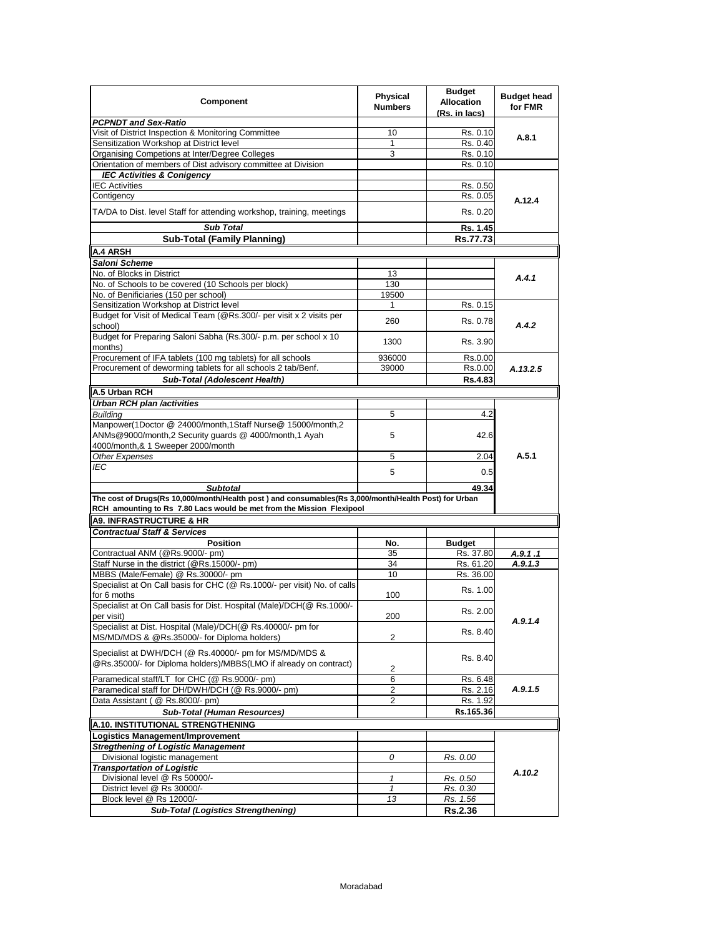| Component                                                                                                                                                                     | <b>Physical</b><br><b>Numbers</b> | <b>Budget</b><br><b>Allocation</b><br>(Rs. in lacs) | <b>Budget head</b><br>for FMR |
|-------------------------------------------------------------------------------------------------------------------------------------------------------------------------------|-----------------------------------|-----------------------------------------------------|-------------------------------|
| <b>PCPNDT and Sex-Ratio</b>                                                                                                                                                   |                                   |                                                     |                               |
| Visit of District Inspection & Monitoring Committee                                                                                                                           | 10                                | Rs. 0.10                                            | A.8.1                         |
| Sensitization Workshop at District level                                                                                                                                      | $\mathbf{1}$                      | Rs. 0.40                                            |                               |
| Organising Competions at Inter/Degree Colleges                                                                                                                                | 3                                 | Rs. 0.10                                            |                               |
| Orientation of members of Dist advisory committee at Division                                                                                                                 |                                   | Rs. 0.10                                            |                               |
| <b>IEC Activities &amp; Conigency</b>                                                                                                                                         |                                   |                                                     |                               |
| <b>IEC Activities</b>                                                                                                                                                         |                                   | Rs. 0.50                                            |                               |
| Contigency                                                                                                                                                                    |                                   | Rs. 0.05                                            | A.12.4                        |
| TA/DA to Dist. level Staff for attending workshop, training, meetings                                                                                                         |                                   | Rs. 0.20                                            |                               |
| <b>Sub Total</b>                                                                                                                                                              |                                   | Rs. 1.45                                            |                               |
| <b>Sub-Total (Family Planning)</b>                                                                                                                                            |                                   | Rs.77.73                                            |                               |
| A.4 ARSH                                                                                                                                                                      |                                   |                                                     |                               |
| Saloni Scheme                                                                                                                                                                 |                                   |                                                     |                               |
| No. of Blocks in District                                                                                                                                                     | 13                                |                                                     |                               |
| No. of Schools to be covered (10 Schools per block)                                                                                                                           | 130                               |                                                     | A.4.1                         |
|                                                                                                                                                                               |                                   |                                                     |                               |
| No. of Benificiaries (150 per school)                                                                                                                                         | 19500<br>1                        |                                                     |                               |
| Sensitization Workshop at District level                                                                                                                                      |                                   | Rs. 0.15                                            |                               |
| Budget for Visit of Medical Team (@Rs.300/- per visit x 2 visits per<br>school)                                                                                               | 260                               | Rs. 0.78                                            | A.4.2                         |
| Budget for Preparing Saloni Sabha (Rs.300/- p.m. per school x 10<br>months)                                                                                                   | 1300                              | Rs. 3.90                                            |                               |
| Procurement of IFA tablets (100 mg tablets) for all schools                                                                                                                   | 936000                            | Rs.0.00                                             |                               |
| Procurement of deworming tablets for all schools 2 tab/Benf.                                                                                                                  | 39000                             | Rs.0.00                                             | A.13.2.5                      |
| Sub-Total (Adolescent Health)                                                                                                                                                 |                                   | <b>Rs.4.83</b>                                      |                               |
| A.5 Urban RCH                                                                                                                                                                 |                                   |                                                     |                               |
|                                                                                                                                                                               |                                   |                                                     |                               |
| Urban RCH plan /activities                                                                                                                                                    |                                   |                                                     |                               |
| <b>Building</b>                                                                                                                                                               | 5                                 | 4.2                                                 |                               |
| Manpower(1Doctor @ 24000/month,1Staff Nurse@ 15000/month,2<br>ANMs@9000/month,2 Security guards @ 4000/month,1 Ayah                                                           | 5                                 | 42.6                                                |                               |
| 4000/month, & 1 Sweeper 2000/month                                                                                                                                            |                                   |                                                     |                               |
| Other Expenses                                                                                                                                                                | 5                                 | 2.04                                                | A.5.1                         |
| IEC                                                                                                                                                                           | 5                                 | 0.5                                                 |                               |
| <b>Subtotal</b>                                                                                                                                                               |                                   | 49.34                                               |                               |
| The cost of Drugs(Rs 10,000/month/Health post) and consumables(Rs 3,000/month/Health Post) for Urban<br>RCH amounting to Rs 7.80 Lacs would be met from the Mission Flexipool |                                   |                                                     |                               |
| A9. INFRASTRUCTURE & HR                                                                                                                                                       |                                   |                                                     |                               |
| <b>Contractual Staff &amp; Services</b>                                                                                                                                       |                                   |                                                     |                               |
| <b>Position</b>                                                                                                                                                               | No.                               |                                                     |                               |
| Contractual ANM (@Rs.9000/- pm)                                                                                                                                               | 35                                | <b>Budget</b><br>Rs. 37.80                          | A.9.1.1                       |
| Staff Nurse in the district (@Rs.15000/- pm)                                                                                                                                  | 34                                | Rs. 61.20                                           | A.9.1.3                       |
|                                                                                                                                                                               | 10                                |                                                     |                               |
| MBBS (Male/Female) @ Rs.30000/- pm                                                                                                                                            |                                   | Rs. 36.00                                           |                               |
| Specialist at On Call basis for CHC (@ Rs.1000/- per visit) No. of calls<br>for 6 moths                                                                                       | 100                               | Rs. 1.00                                            |                               |
| Specialist at On Call basis for Dist. Hospital (Male)/DCH(@ Rs.1000/-<br>per visit)                                                                                           | 200                               | Rs. 2.00                                            | A.9.1.4                       |
| Specialist at Dist. Hospital (Male)/DCH(@ Rs.40000/- pm for<br>MS/MD/MDS & @Rs.35000/- for Diploma holders)                                                                   | $\overline{2}$                    | Rs. 8.40                                            |                               |
| Specialist at DWH/DCH (@ Rs.40000/- pm for MS/MD/MDS &<br>@Rs.35000/- for Diploma holders)/MBBS(LMO if already on contract)                                                   | 2                                 | Rs. 8.40                                            |                               |
| Paramedical staff/LT for CHC (@ Rs.9000/- pm)                                                                                                                                 | 6                                 | Rs. 6.48                                            |                               |
| Paramedical staff for DH/DWH/DCH (@ Rs.9000/- pm)                                                                                                                             | $\overline{2}$                    | Rs. 2.16                                            | A.9.1.5                       |
| Data Assistant ( @ Rs.8000/- pm)                                                                                                                                              | 2                                 | Rs. 1.92                                            |                               |
|                                                                                                                                                                               |                                   |                                                     |                               |
| <b>Sub-Total (Human Resources)</b>                                                                                                                                            |                                   | Rs.165.36                                           |                               |
| A.10. INSTITUTIONAL STRENGTHENING                                                                                                                                             |                                   |                                                     |                               |
| <b>Logistics Management/Improvement</b>                                                                                                                                       |                                   |                                                     |                               |
| <b>Stregthening of Logistic Management</b>                                                                                                                                    |                                   |                                                     |                               |
| Divisional logistic management                                                                                                                                                | 0                                 | Rs. 0.00                                            |                               |
| <b>Transportation of Logistic</b>                                                                                                                                             |                                   |                                                     | A.10.2                        |
| Divisional level @ Rs 50000/-                                                                                                                                                 | 1                                 | Rs. 0.50                                            |                               |
| District level @ Rs 30000/-                                                                                                                                                   | $\mathbf{1}$                      | Rs. 0.30                                            |                               |
| Block level @ Rs 12000/-                                                                                                                                                      | 13                                | Rs. 1.56                                            |                               |
| <b>Sub-Total (Logistics Strengthening)</b>                                                                                                                                    |                                   | Rs.2.36                                             |                               |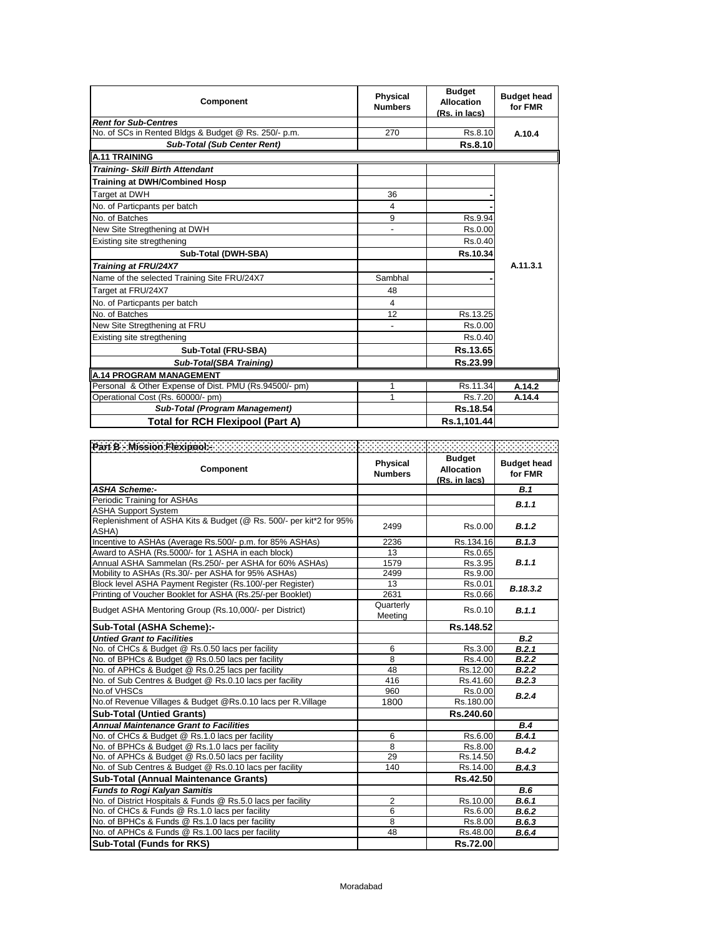| Component                                             | Physical<br><b>Numbers</b> | <b>Budget</b><br>Allocation<br>(Rs. in lacs) | <b>Budget head</b><br>for FMR |
|-------------------------------------------------------|----------------------------|----------------------------------------------|-------------------------------|
| <b>Rent for Sub-Centres</b>                           |                            |                                              |                               |
| No. of SCs in Rented Bldgs & Budget @ Rs. 250/- p.m.  | 270                        | Rs.8.10                                      | A.10.4                        |
| <b>Sub-Total (Sub Center Rent)</b>                    |                            | <b>Rs.8.10</b>                               |                               |
| A.11 TRAINING                                         |                            |                                              |                               |
| <b>Training- Skill Birth Attendant</b>                |                            |                                              |                               |
| <b>Training at DWH/Combined Hosp</b>                  |                            |                                              |                               |
| <b>Target at DWH</b>                                  | 36                         |                                              |                               |
| No. of Particpants per batch                          | 4                          |                                              |                               |
| No. of Batches                                        | 9                          | Rs.9.94                                      |                               |
| New Site Stregthening at DWH                          |                            | Rs.0.00                                      |                               |
| Existing site stregthening                            |                            | Rs.0.40                                      |                               |
| Sub-Total (DWH-SBA)                                   |                            | Rs.10.34                                     |                               |
| <b>Training at FRU/24X7</b>                           |                            |                                              | A.11.3.1                      |
| Name of the selected Training Site FRU/24X7           | Sambhal                    |                                              |                               |
| Target at FRU/24X7                                    | 48                         |                                              |                               |
| No. of Particpants per batch                          | 4                          |                                              |                               |
| No. of Batches                                        | 12                         | Rs.13.25                                     |                               |
| New Site Stregthening at FRU                          | $\overline{\phantom{0}}$   | Rs.0.00                                      |                               |
| Existing site stregthening                            |                            | Rs.0.40                                      |                               |
| Sub-Total (FRU-SBA)                                   |                            | Rs.13.65                                     |                               |
| Sub-Total(SBA Training)                               |                            | Rs.23.99                                     |                               |
| <b>A.14 PROGRAM MANAGEMENT</b>                        |                            |                                              |                               |
| Personal & Other Expense of Dist. PMU (Rs.94500/- pm) | 1                          | Rs.11.34                                     | A.14.2                        |
| Operational Cost (Rs. 60000/- pm)                     | 1                          | Rs.7.20                                      | A.14.4                        |
| <b>Sub-Total (Program Management)</b>                 |                            | Rs.18.54                                     |                               |
| Total for RCH Flexipool (Part A)                      |                            | Rs.1,101.44                                  |                               |

| Part B : Mission Flexipool: Andrew Michael School (1999)                    |                            |                                                     |                               |
|-----------------------------------------------------------------------------|----------------------------|-----------------------------------------------------|-------------------------------|
| Component                                                                   | Physical<br><b>Numbers</b> | <b>Budget</b><br><b>Allocation</b><br>(Rs. in lacs) | <b>Budget head</b><br>for FMR |
| <b>ASHA Scheme:-</b>                                                        |                            |                                                     | <b>B.1</b>                    |
| Periodic Training for ASHAs                                                 |                            |                                                     | B.1.1                         |
| <b>ASHA Support System</b>                                                  |                            |                                                     |                               |
| Replenishment of ASHA Kits & Budget (@ Rs. 500/- per kit*2 for 95%<br>ASHA) | 2499                       | Rs.0.00                                             | B.1.2                         |
| Incentive to ASHAs (Average Rs.500/- p.m. for 85% ASHAs)                    | 2236                       | Rs.134.16                                           | B.1.3                         |
| Award to ASHA (Rs.5000/- for 1 ASHA in each block)                          | 13                         | Rs.0.65                                             |                               |
| Annual ASHA Sammelan (Rs.250/- per ASHA for 60% ASHAs)                      | 1579                       | Rs.3.95                                             | B.1.1                         |
| Mobility to ASHAs (Rs.30/- per ASHA for 95% ASHAs)                          | 2499                       | Rs.9.00                                             |                               |
| Block level ASHA Payment Register (Rs.100/-per Register)                    | 13                         | Rs.0.01                                             | B.18.3.2                      |
| Printing of Voucher Booklet for ASHA (Rs.25/-per Booklet)                   | 2631                       | Rs.0.66                                             |                               |
| Budget ASHA Mentoring Group (Rs.10,000/- per District)                      | Quarterly<br>Meeting       | Rs.0.10                                             | B.1.1                         |
| Sub-Total (ASHA Scheme):-                                                   |                            | Rs.148.52                                           |                               |
| <b>Untied Grant to Facilities</b>                                           |                            |                                                     | B.2                           |
| No. of CHCs & Budget @ Rs.0.50 lacs per facility                            | 6                          | Rs.3.00                                             | B.2.1                         |
| No. of BPHCs & Budget @ Rs.0.50 lacs per facility                           | 8                          | Rs.4.00                                             | B.2.2                         |
| No. of APHCs & Budget @ Rs.0.25 lacs per facility                           | 48                         | Rs.12.00                                            | B.2.2                         |
| No. of Sub Centres & Budget @ Rs.0.10 lacs per facility                     | 416                        | Rs.41.60                                            | B.2.3                         |
| No.of VHSCs                                                                 | 960                        | Rs.0.00                                             | B.2.4                         |
| No.of Revenue Villages & Budget @Rs.0.10 lacs per R.Village                 | 1800                       | Rs.180.00                                           |                               |
| <b>Sub-Total (Untied Grants)</b>                                            |                            | Rs.240.60                                           |                               |
| <b>Annual Maintenance Grant to Facilities</b>                               |                            |                                                     | B.4                           |
| No. of CHCs & Budget @ Rs.1.0 lacs per facility                             | 6                          | Rs.6.00                                             | B.4.1                         |
| No. of BPHCs & Budget @ Rs.1.0 lacs per facility                            | 8                          | Rs.8.00                                             | B.4.2                         |
| No. of APHCs & Budget @ Rs.0.50 lacs per facility                           | 29                         | Rs.14.50                                            |                               |
| No. of Sub Centres & Budget @ Rs.0.10 lacs per facility                     | 140                        | Rs.14.00                                            | B.4.3                         |
| <b>Sub-Total (Annual Maintenance Grants)</b>                                |                            | Rs.42.50                                            |                               |
| <b>Funds to Rogi Kalyan Samitis</b>                                         |                            |                                                     | B.6                           |
| No. of District Hospitals & Funds @ Rs.5.0 lacs per facility                | $\overline{2}$             | Rs.10.00                                            | B.6.1                         |
| No. of CHCs & Funds @ Rs.1.0 lacs per facility                              | $\overline{6}$             | Rs.6.00                                             | B.6.2                         |
| No. of BPHCs & Funds @ Rs.1.0 lacs per facility                             | 8                          | Rs.8.00                                             | B.6.3                         |
| No. of APHCs & Funds @ Rs.1.00 lacs per facility                            | 48                         | Rs.48.00                                            | B.6.4                         |
| <b>Sub-Total (Funds for RKS)</b>                                            |                            | Rs.72.00                                            |                               |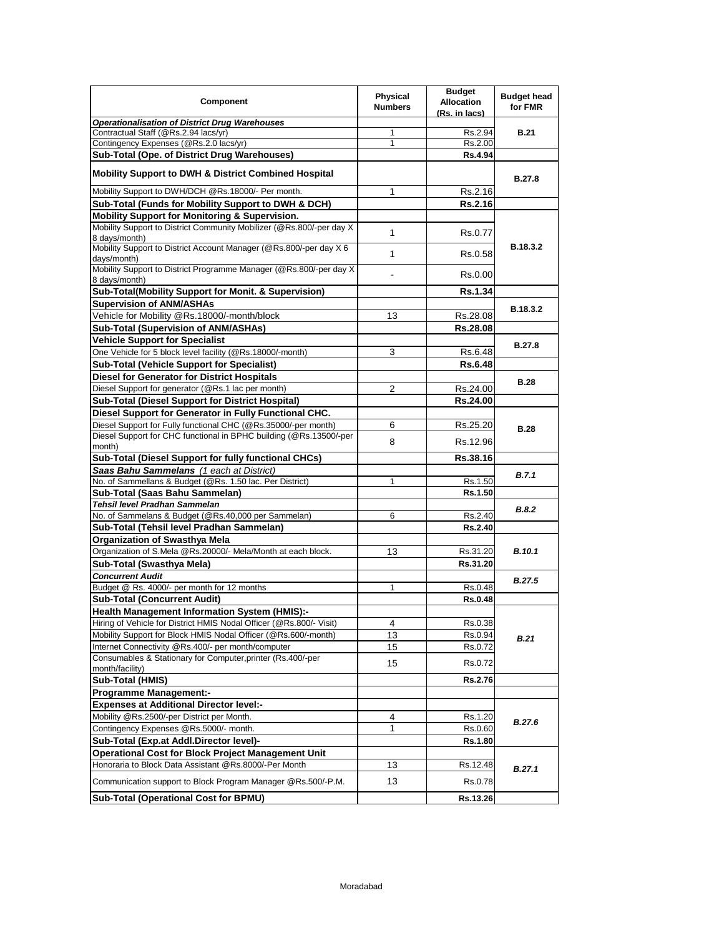| Component                                                                             | Physical<br><b>Numbers</b> | <b>Budget</b><br><b>Allocation</b><br>(Rs. in lacs) | <b>Budget head</b><br>for FMR |
|---------------------------------------------------------------------------------------|----------------------------|-----------------------------------------------------|-------------------------------|
| <b>Operationalisation of District Drug Warehouses</b>                                 |                            |                                                     |                               |
| Contractual Staff (@Rs.2.94 lacs/yr)                                                  | 1                          | Rs.2.94                                             | <b>B.21</b>                   |
| Contingency Expenses (@Rs.2.0 lacs/yr)                                                | $\mathbf{1}$               | Rs.2.00                                             |                               |
| Sub-Total (Ope. of District Drug Warehouses)                                          |                            | <b>Rs.4.94</b>                                      |                               |
| <b>Mobility Support to DWH &amp; District Combined Hospital</b>                       |                            |                                                     | <b>B.27.8</b>                 |
| Mobility Support to DWH/DCH @Rs.18000/- Per month.                                    | 1                          | Rs.2.16                                             |                               |
| Sub-Total (Funds for Mobility Support to DWH & DCH)                                   |                            | <b>Rs.2.16</b>                                      |                               |
| Mobility Support for Monitoring & Supervision.                                        |                            |                                                     |                               |
| Mobility Support to District Community Mobilizer (@Rs.800/-per day X<br>8 days/month) | 1                          | Rs.0.77                                             |                               |
| Mobility Support to District Account Manager (@Rs.800/-per day X 6<br>days/month)     | 1                          | Rs.0.58                                             | B.18.3.2                      |
| Mobility Support to District Programme Manager (@Rs.800/-per day X<br>8 days/month)   |                            | Rs.0.00                                             |                               |
| Sub-Total(Mobility Support for Monit. & Supervision)                                  |                            | <b>Rs.1.34</b>                                      |                               |
| <b>Supervision of ANM/ASHAs</b>                                                       |                            |                                                     | B.18.3.2                      |
| Vehicle for Mobility @Rs.18000/-month/block                                           | 13                         | Rs.28.08                                            |                               |
| Sub-Total (Supervision of ANM/ASHAs)                                                  |                            | Rs.28.08                                            |                               |
| <b>Vehicle Support for Specialist</b>                                                 |                            |                                                     |                               |
| One Vehicle for 5 block level facility (@Rs.18000/-month)                             | 3                          | Rs.6.48                                             | <b>B.27.8</b>                 |
| <b>Sub-Total (Vehicle Support for Specialist)</b>                                     |                            | <b>Rs.6.48</b>                                      |                               |
| <b>Diesel for Generator for District Hospitals</b>                                    |                            |                                                     |                               |
|                                                                                       |                            |                                                     | <b>B.28</b>                   |
| Diesel Support for generator (@Rs.1 lac per month)                                    | 2                          | Rs.24.00                                            |                               |
| <b>Sub-Total (Diesel Support for District Hospital)</b>                               |                            | Rs.24.00                                            |                               |
| Diesel Support for Generator in Fully Functional CHC.                                 |                            |                                                     |                               |
| Diesel Support for Fully functional CHC (@Rs.35000/-per month)                        | 6                          | Rs.25.20                                            | <b>B.28</b>                   |
| Diesel Support for CHC functional in BPHC building (@Rs.13500/-per                    | 8                          | Rs.12.96                                            |                               |
| month)                                                                                |                            |                                                     |                               |
| <b>Sub-Total (Diesel Support for fully functional CHCs)</b>                           |                            | Rs.38.16                                            |                               |
| Saas Bahu Sammelans (1 each at District)                                              |                            |                                                     | B.7.1                         |
| No. of Sammellans & Budget (@Rs. 1.50 lac. Per District)                              | $\mathbf{1}$               | Rs.1.50                                             |                               |
| Sub-Total (Saas Bahu Sammelan)                                                        |                            | Rs.1.50                                             |                               |
| <b>Tehsil level Pradhan Sammelan</b>                                                  |                            |                                                     | B.8.2                         |
| No. of Sammelans & Budget (@Rs.40,000 per Sammelan)                                   | 6                          | Rs.2.40                                             |                               |
| Sub-Total (Tehsil level Pradhan Sammelan)                                             |                            | Rs.2.40                                             |                               |
| <b>Organization of Swasthya Mela</b>                                                  |                            |                                                     |                               |
| Organization of S.Mela @Rs.20000/- Mela/Month at each block.                          | 13                         | Rs.31.20                                            | <b>B.10.1</b>                 |
| Sub-Total (Swasthya Mela)                                                             |                            | Rs.31.20                                            |                               |
| <b>Concurrent Audit</b>                                                               |                            |                                                     | <b>B.27.5</b>                 |
| Budget @ Rs. 4000/- per month for 12 months                                           | 1                          | Rs.0.48                                             |                               |
| <b>Sub-Total (Concurrent Audit)</b>                                                   |                            | <b>Rs.0.48</b>                                      |                               |
| <b>Health Management Information System (HMIS):-</b>                                  |                            |                                                     |                               |
| Hiring of Vehicle for District HMIS Nodal Officer (@Rs.800/- Visit)                   | 4                          | Rs.0.38                                             |                               |
| Mobility Support for Block HMIS Nodal Officer (@Rs.600/-month)                        | 13                         | Rs.0.94                                             | <b>B.21</b>                   |
| Internet Connectivity @Rs.400/- per month/computer                                    | 15                         | Rs.0.72                                             |                               |
| Consumables & Stationary for Computer, printer (Rs.400/-per<br>month/facility)        | 15                         | Rs.0.72                                             |                               |
| Sub-Total (HMIS)                                                                      |                            | <b>Rs.2.76</b>                                      |                               |
| <b>Programme Management:-</b>                                                         |                            |                                                     |                               |
| <b>Expenses at Additional Director level:-</b>                                        |                            |                                                     |                               |
| Mobility @Rs.2500/-per District per Month.                                            | 4                          | Rs.1.20                                             |                               |
| Contingency Expenses @Rs.5000/- month.                                                | 1                          |                                                     | <b>B.27.6</b>                 |
|                                                                                       |                            | Rs.0.60                                             |                               |
| Sub-Total (Exp.at Addl.Director level)-                                               |                            | Rs.1.80                                             |                               |
| Operational Cost for Block Project Management Unit                                    |                            |                                                     |                               |
| Honoraria to Block Data Assistant @Rs.8000/-Per Month                                 | 13                         | Rs.12.48                                            | B.27.1                        |
| Communication support to Block Program Manager @Rs.500/-P.M.                          | 13                         | Rs.0.78                                             |                               |
| Sub-Total (Operational Cost for BPMU)                                                 |                            | Rs.13.26                                            |                               |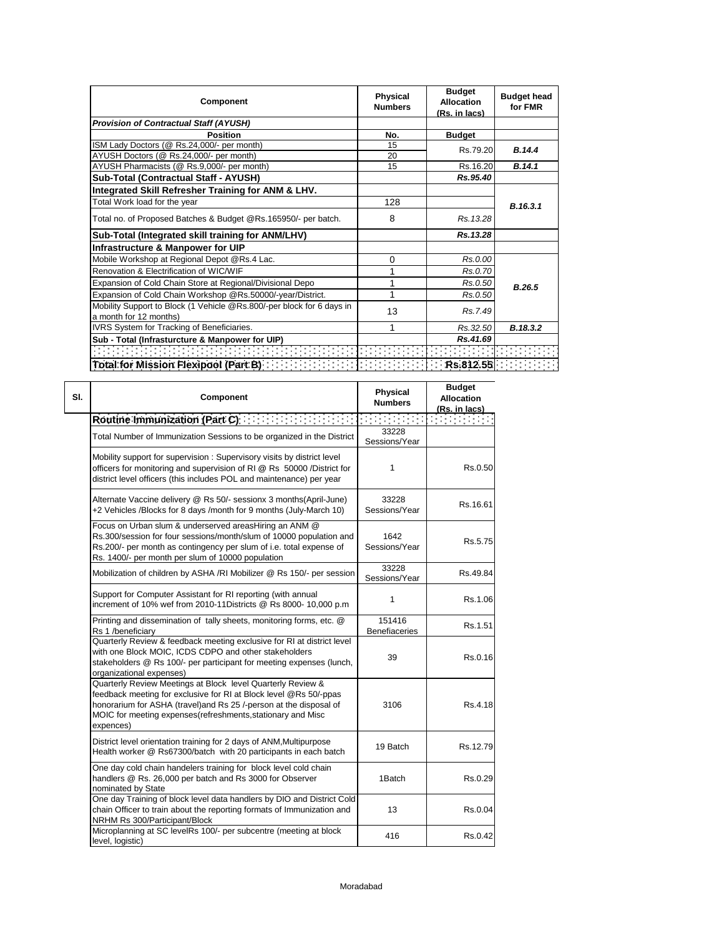| Component                                                             | Physical<br><b>Numbers</b> | <b>Budget</b><br><b>Allocation</b><br>(Rs. in lacs) | <b>Budget head</b><br>for FMR |
|-----------------------------------------------------------------------|----------------------------|-----------------------------------------------------|-------------------------------|
| <b>Provision of Contractual Staff (AYUSH)</b>                         |                            |                                                     |                               |
| <b>Position</b>                                                       | No.                        | <b>Budget</b>                                       |                               |
| ISM Lady Doctors (@ Rs.24,000/- per month)                            | 15                         | Rs.79.20                                            | B.14.4                        |
| AYUSH Doctors (@ Rs.24,000/- per month)                               | 20                         |                                                     |                               |
| AYUSH Pharmacists (@ Rs.9,000/- per month)                            | 15                         | Rs.16.20                                            | B.14.1                        |
| Sub-Total (Contractual Staff - AYUSH)                                 |                            | Rs.95.40                                            |                               |
| Integrated Skill Refresher Training for ANM & LHV.                    |                            |                                                     |                               |
| Total Work load for the year                                          | 128                        |                                                     | B.16.3.1                      |
| Total no. of Proposed Batches & Budget @Rs.165950/- per batch.        | 8                          | Rs. 13.28                                           |                               |
| Sub-Total (Integrated skill training for ANM/LHV)                     |                            | Rs.13.28                                            |                               |
| Infrastructure & Manpower for UIP                                     |                            |                                                     |                               |
| Mobile Workshop at Regional Depot @Rs.4 Lac.                          | $\mathbf 0$                | Rs.0.00                                             |                               |
| Renovation & Electrification of WIC/WIF                               |                            | Rs.0.70                                             |                               |
| Expansion of Cold Chain Store at Regional/Divisional Depo             | 1                          | Rs.0.50                                             | B.26.5                        |
| Expansion of Cold Chain Workshop @Rs.50000/-year/District.            | 1                          | Rs.0.50                                             |                               |
| Mobility Support to Block (1 Vehicle @Rs.800/-per block for 6 days in | 13                         | Rs.7.49                                             |                               |
| a month for 12 months)                                                |                            |                                                     |                               |
| IVRS System for Tracking of Beneficiaries.                            |                            | Rs.32.50                                            | B.18.3.2                      |
| Sub - Total (Infrasturcture & Manpower for UIP)                       |                            | Rs.41.69                                            |                               |
|                                                                       |                            |                                                     |                               |
| Total for Mission Flexipool (Part B) [11] [11] [11] [11]              |                            | $R$ $\sim$ $R$ $\sim$ 812.55                        |                               |

| SI. | Component                                                                                                                                                                                                                                                                          | <b>Physical</b><br><b>Numbers</b> | <b>Budget</b><br><b>Allocation</b><br><u>(Rs. in lacs)</u> |
|-----|------------------------------------------------------------------------------------------------------------------------------------------------------------------------------------------------------------------------------------------------------------------------------------|-----------------------------------|------------------------------------------------------------|
|     | Routine Immunization (Part C)                                                                                                                                                                                                                                                      |                                   |                                                            |
|     | Total Number of Immunization Sessions to be organized in the District                                                                                                                                                                                                              | 33228<br>Sessions/Year            |                                                            |
|     | Mobility support for supervision: Supervisory visits by district level<br>officers for monitoring and supervision of RI @ Rs 50000 /District for<br>district level officers (this includes POL and maintenance) per year                                                           | 1                                 | Rs.0.50                                                    |
|     | Alternate Vaccine delivery @ Rs 50/- sessionx 3 months(April-June)<br>+2 Vehicles /Blocks for 8 days /month for 9 months (July-March 10)                                                                                                                                           | 33228<br>Sessions/Year            | Rs.16.61                                                   |
|     | Focus on Urban slum & underserved areasHiring an ANM @<br>Rs.300/session for four sessions/month/slum of 10000 population and<br>Rs.200/- per month as contingency per slum of i.e. total expense of<br>Rs. 1400/- per month per slum of 10000 population                          | 1642<br>Sessions/Year             | Rs.5.75                                                    |
|     | Mobilization of children by ASHA /RI Mobilizer @ Rs 150/- per session                                                                                                                                                                                                              | 33228<br>Sessions/Year            | Rs.49.84                                                   |
|     | Support for Computer Assistant for RI reporting (with annual<br>increment of 10% wef from 2010-11Districts @ Rs 8000- 10,000 p.m                                                                                                                                                   | 1                                 | Rs.1.06                                                    |
|     | Printing and dissemination of tally sheets, monitoring forms, etc. @<br>Rs 1 /beneficiary                                                                                                                                                                                          | 151416<br>Benefiaceries           | Rs.1.51                                                    |
|     | Quarterly Review & feedback meeting exclusive for RI at district level<br>with one Block MOIC, ICDS CDPO and other stakeholders<br>stakeholders @ Rs 100/- per participant for meeting expenses (lunch,<br>organizational expenses)                                                | 39                                | Rs.0.16                                                    |
|     | Quarterly Review Meetings at Block level Quarterly Review &<br>feedback meeting for exclusive for RI at Block level @Rs 50/-ppas<br>honorarium for ASHA (travel) and Rs 25 /-person at the disposal of<br>MOIC for meeting expenses(refreshments, stationary and Misc<br>expences) | 3106                              | Rs.4.18                                                    |
|     | District level orientation training for 2 days of ANM, Multipurpose<br>Health worker @ Rs67300/batch with 20 participants in each batch                                                                                                                                            | 19 Batch                          | Rs. 12.79                                                  |
|     | One day cold chain handelers training for block level cold chain<br>handlers @ Rs. 26,000 per batch and Rs 3000 for Observer<br>nominated by State                                                                                                                                 | 1Batch                            | Rs.0.29                                                    |
|     | One day Training of block level data handlers by DIO and District Cold<br>chain Officer to train about the reporting formats of Immunization and<br>NRHM Rs 300/Participant/Block                                                                                                  | 13                                | Rs.0.04                                                    |
|     | Microplanning at SC levelRs 100/- per subcentre (meeting at block<br>level, logistic)                                                                                                                                                                                              | 416                               | Rs 0.42                                                    |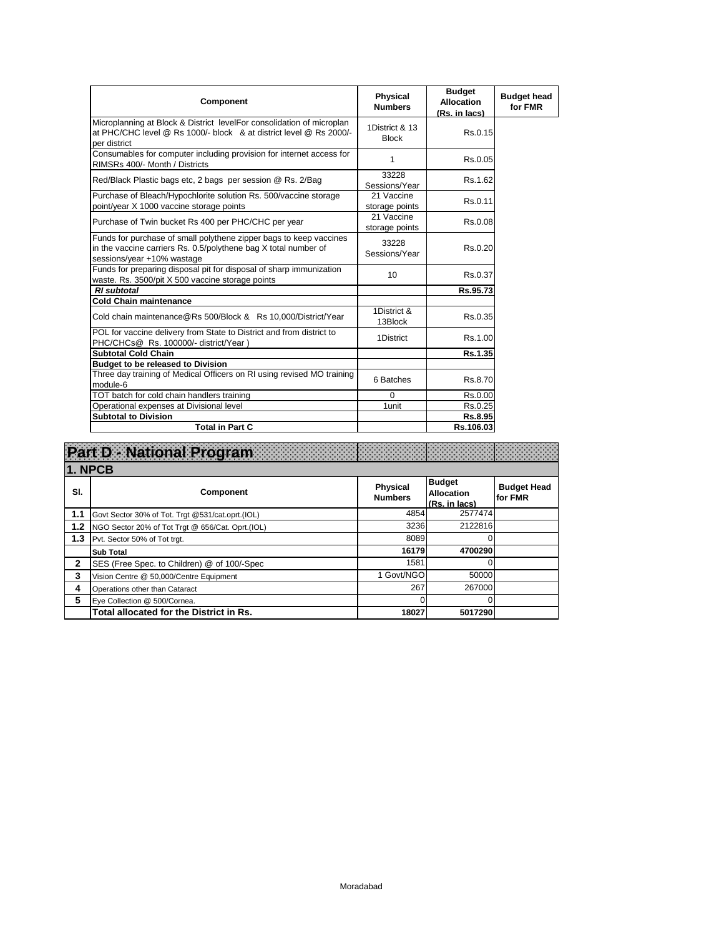| Component                                                                                                                                                           | <b>Physical</b><br><b>Numbers</b> | <b>Budget</b><br><b>Allocation</b><br>(Rs. in lacs) | <b>Budget head</b><br>for FMR |
|---------------------------------------------------------------------------------------------------------------------------------------------------------------------|-----------------------------------|-----------------------------------------------------|-------------------------------|
| Microplanning at Block & District levelFor consolidation of microplan<br>at PHC/CHC level @ Rs 1000/- block & at district level @ Rs 2000/-<br>per district         | 1District & 13<br><b>Block</b>    | Rs.0.15                                             |                               |
| Consumables for computer including provision for internet access for<br>RIMSRs 400/- Month / Districts                                                              | 1                                 | Rs.0.05                                             |                               |
| Red/Black Plastic bags etc, 2 bags per session @ Rs. 2/Bag                                                                                                          | 33228<br>Sessions/Year            | Rs.1.62                                             |                               |
| Purchase of Bleach/Hypochlorite solution Rs. 500/vaccine storage<br>point/year X 1000 vaccine storage points                                                        | 21 Vaccine<br>storage points      | Rs.0.11                                             |                               |
| Purchase of Twin bucket Rs 400 per PHC/CHC per year                                                                                                                 | 21 Vaccine<br>storage points      | Rs.0.08                                             |                               |
| Funds for purchase of small polythene zipper bags to keep vaccines<br>in the vaccine carriers Rs. 0.5/polythene bag X total number of<br>sessions/year +10% wastage | 33228<br>Sessions/Year            | Rs.0.20                                             |                               |
| Funds for preparing disposal pit for disposal of sharp immunization<br>waste. Rs. 3500/pit X 500 vaccine storage points                                             | 10                                | Rs.0.37                                             |                               |
| <b>RI</b> subtotal                                                                                                                                                  |                                   | Rs.95.73                                            |                               |
| <b>Cold Chain maintenance</b>                                                                                                                                       |                                   |                                                     |                               |
| Cold chain maintenance@Rs 500/Block & Rs 10,000/District/Year                                                                                                       | 1District &<br>13Block            | Rs.0.35                                             |                               |
| POL for vaccine delivery from State to District and from district to<br>PHC/CHCs@ Rs. 100000/- district/Year)                                                       | 1District                         | Rs.1.00                                             |                               |
| <b>Subtotal Cold Chain</b>                                                                                                                                          |                                   | Rs.1.35                                             |                               |
| <b>Budget to be released to Division</b>                                                                                                                            |                                   |                                                     |                               |
| Three day training of Medical Officers on RI using revised MO training<br>module-6                                                                                  | 6 Batches                         | Rs.8.70                                             |                               |
| TOT batch for cold chain handlers training                                                                                                                          | $\Omega$                          | Rs.0.00                                             |                               |
| Operational expenses at Divisional level                                                                                                                            | 1unit                             | Rs.0.25                                             |                               |
| <b>Subtotal to Division</b>                                                                                                                                         |                                   | Rs.8.95                                             |                               |
| <b>Total in Part C</b>                                                                                                                                              |                                   | Rs.106.03                                           |                               |

|                | Part D National Program                           |                                   |                                                     |                               |
|----------------|---------------------------------------------------|-----------------------------------|-----------------------------------------------------|-------------------------------|
| <b>1. NPCB</b> |                                                   |                                   |                                                     |                               |
| SI.            | <b>Component</b>                                  | <b>Physical</b><br><b>Numbers</b> | <b>Budget</b><br><b>Allocation</b><br>(Rs. in lacs) | <b>Budget Head</b><br>for FMR |
| 1.1            | Govt Sector 30% of Tot. Trgt @531/cat.oprt.(IOL)  | 4854                              | 2577474                                             |                               |
| 1.2            | NGO Sector 20% of Tot Trgt @ 656/Cat. Oprt. (IOL) | 3236                              | 2122816                                             |                               |
| 1.3            | Pvt. Sector 50% of Tot trgt.                      | 8089                              | O                                                   |                               |
|                | <b>Sub Total</b>                                  | 16179                             | 4700290                                             |                               |
| 2              | SES (Free Spec. to Children) @ of 100/-Spec       | 1581                              |                                                     |                               |
| 3              | Vision Centre @ 50,000/Centre Equipment           | 1 Govt/NGO                        | 50000                                               |                               |
| 4              | Operations other than Cataract                    | 267                               | 267000                                              |                               |
| 5              | Eye Collection @ 500/Cornea.                      |                                   | O                                                   |                               |
|                | Total allocated for the District in Rs.           | 18027                             | 5017290                                             |                               |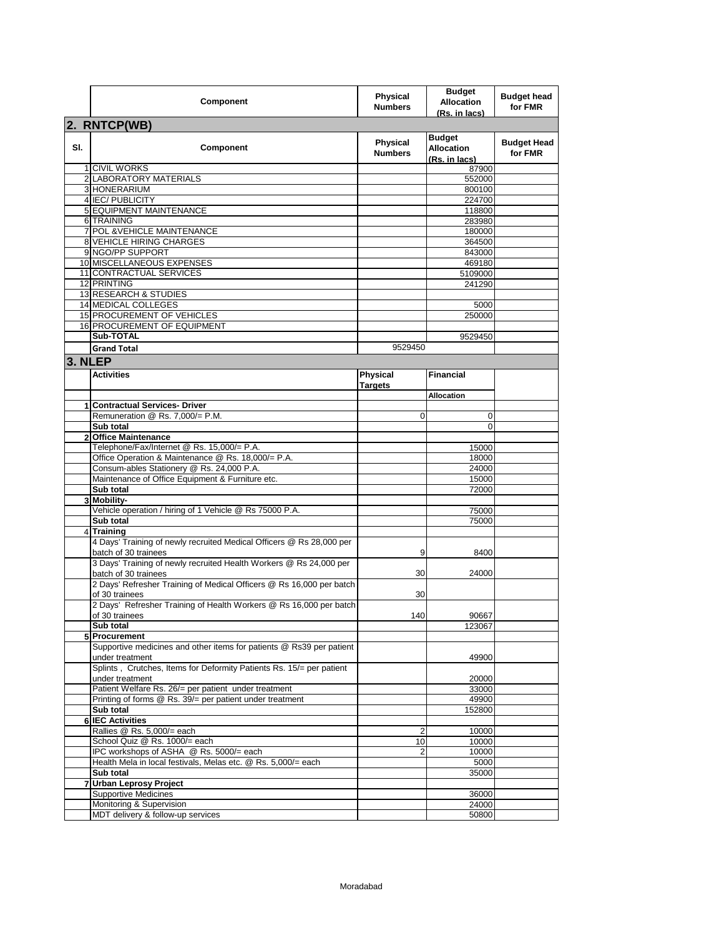|         | Component                                                                                  | <b>Physical</b><br><b>Numbers</b> | <b>Budget</b><br><b>Allocation</b><br>(Rs. in lacs) | <b>Budget head</b><br>for FMR |  |  |
|---------|--------------------------------------------------------------------------------------------|-----------------------------------|-----------------------------------------------------|-------------------------------|--|--|
|         | 2. RNTCP(WB)                                                                               |                                   |                                                     |                               |  |  |
| SI.     | Component                                                                                  | Physical<br><b>Numbers</b>        | <b>Budget</b><br><b>Allocation</b><br>(Rs. in lacs) | <b>Budget Head</b><br>for FMR |  |  |
|         | 1 CIVIL WORKS                                                                              |                                   | 87900                                               |                               |  |  |
|         | 2 LABORATORY MATERIALS<br>3 HONERARIUM                                                     |                                   | 552000<br>800100                                    |                               |  |  |
|         | 4 IEC/PUBLICITY                                                                            |                                   | 224700                                              |                               |  |  |
|         | 5 EQUIPMENT MAINTENANCE                                                                    |                                   | 118800                                              |                               |  |  |
|         | 6 TRAINING                                                                                 |                                   | 283980                                              |                               |  |  |
|         | 7 POL & VEHICLE MAINTENANCE                                                                |                                   | 180000                                              |                               |  |  |
|         | <b>8 VEHICLE HIRING CHARGES</b>                                                            |                                   | 364500                                              |                               |  |  |
|         | 9 NGO/PP SUPPORT<br>10 MISCELLANEOUS EXPENSES                                              |                                   | 843000<br>469180                                    |                               |  |  |
|         | 11 CONTRACTUAL SERVICES                                                                    |                                   | 5109000                                             |                               |  |  |
|         | 12 PRINTING                                                                                |                                   | 241290                                              |                               |  |  |
|         | 13 RESEARCH & STUDIES                                                                      |                                   |                                                     |                               |  |  |
|         | 14 MEDICAL COLLEGES                                                                        |                                   | 5000                                                |                               |  |  |
|         | 15 PROCUREMENT OF VEHICLES                                                                 |                                   | 250000                                              |                               |  |  |
|         | <b>16 PROCUREMENT OF EQUIPMENT</b>                                                         |                                   |                                                     |                               |  |  |
|         | Sub-TOTAL                                                                                  |                                   | 9529450                                             |                               |  |  |
|         | <b>Grand Total</b>                                                                         | 9529450                           |                                                     |                               |  |  |
| 3. NLEP |                                                                                            |                                   |                                                     |                               |  |  |
|         | <b>Activities</b>                                                                          | Physical                          | <b>Financial</b>                                    |                               |  |  |
|         |                                                                                            | <b>Targets</b>                    |                                                     |                               |  |  |
|         |                                                                                            |                                   | <b>Allocation</b>                                   |                               |  |  |
|         | 1 Contractual Services- Driver                                                             |                                   |                                                     |                               |  |  |
|         | Remuneration @ Rs. 7,000/= P.M.<br>Sub total                                               | $\Omega$                          | 0<br>0                                              |                               |  |  |
|         | 2 Office Maintenance                                                                       |                                   |                                                     |                               |  |  |
|         | Telephone/Fax/Internet @ Rs. 15,000/= P.A.                                                 |                                   | 15000                                               |                               |  |  |
|         | Office Operation & Maintenance @ Rs. 18,000/= P.A.                                         |                                   | 18000                                               |                               |  |  |
|         | Consum-ables Stationery @ Rs. 24,000 P.A.                                                  |                                   | 24000                                               |                               |  |  |
|         | Maintenance of Office Equipment & Furniture etc.                                           |                                   | 15000                                               |                               |  |  |
|         | Sub total                                                                                  |                                   | 72000                                               |                               |  |  |
|         | 3 Mobility-                                                                                |                                   |                                                     |                               |  |  |
|         | Vehicle operation / hiring of 1 Vehicle @ Rs 75000 P.A.                                    |                                   | 75000                                               |                               |  |  |
|         | Sub total                                                                                  |                                   | 75000                                               |                               |  |  |
|         | 4 Training<br>4 Days' Training of newly recruited Medical Officers @ Rs 28,000 per         |                                   |                                                     |                               |  |  |
|         | batch of 30 trainees                                                                       | 9                                 | 8400                                                |                               |  |  |
|         | 3 Days' Training of newly recruited Health Workers @ Rs 24,000 per<br>batch of 30 trainees | 30                                | 24000                                               |                               |  |  |
|         | 2 Days' Refresher Training of Medical Officers @ Rs 16,000 per batch<br>of 30 trainees     | 30                                |                                                     |                               |  |  |
|         | 2 Days' Refresher Training of Health Workers @ Rs 16,000 per batch                         |                                   |                                                     |                               |  |  |
|         | of 30 trainees                                                                             | 140                               | 90667                                               |                               |  |  |
|         | Sub total                                                                                  |                                   | 123067                                              |                               |  |  |
|         | 5 Procurement                                                                              |                                   |                                                     |                               |  |  |
|         | Supportive medicines and other items for patients @ Rs39 per patient                       |                                   |                                                     |                               |  |  |
|         | under treatment<br>Splints, Crutches, Items for Deformity Patients Rs. 15/= per patient    |                                   | 49900                                               |                               |  |  |
|         | under treatment                                                                            |                                   | 20000                                               |                               |  |  |
|         | Patient Welfare Rs. 26/= per patient under treatment                                       |                                   | 33000                                               |                               |  |  |
|         | Printing of forms @ Rs. 39/= per patient under treatment                                   |                                   | 49900                                               |                               |  |  |
|         | Sub total                                                                                  |                                   | 152800                                              |                               |  |  |
|         | <b>6 IEC Activities</b>                                                                    |                                   |                                                     |                               |  |  |
|         | Rallies @ Rs. 5,000/= each                                                                 | 2                                 | 10000                                               |                               |  |  |
|         | School Quiz @ Rs. 1000/= each                                                              | 10                                | 10000                                               |                               |  |  |
|         | IPC workshops of ASHA @ Rs. 5000/= each                                                    | 2                                 | 10000                                               |                               |  |  |
|         | Health Mela in local festivals, Melas etc. @ Rs. 5,000/= each                              |                                   | 5000                                                |                               |  |  |
|         | Sub total<br>7 Urban Leprosy Project                                                       |                                   | 35000                                               |                               |  |  |
|         | <b>Supportive Medicines</b>                                                                |                                   | 36000                                               |                               |  |  |
|         | Monitoring & Supervision                                                                   |                                   | 24000                                               |                               |  |  |
|         | MDT delivery & follow-up services                                                          |                                   | 50800                                               |                               |  |  |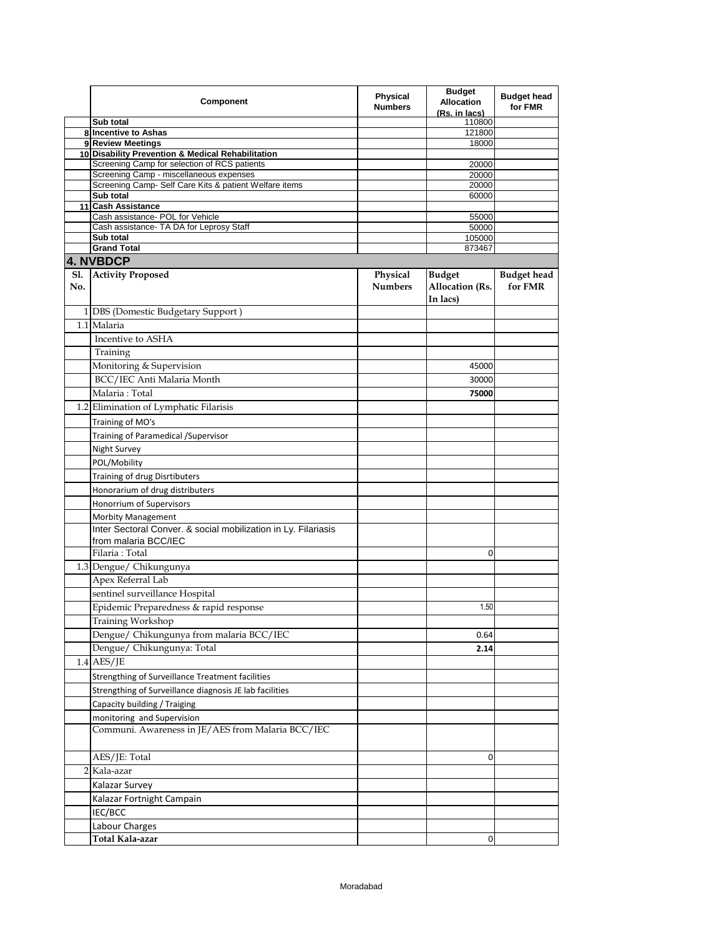|     | Component                                                                       | <b>Physical</b><br><b>Numbers</b> | <b>Budget</b><br><b>Allocation</b><br>(Rs. in lacs) | <b>Budget head</b><br>for FMR |
|-----|---------------------------------------------------------------------------------|-----------------------------------|-----------------------------------------------------|-------------------------------|
|     | Sub total                                                                       |                                   | 110800                                              |                               |
|     | 8 Incentive to Ashas                                                            |                                   | 121800                                              |                               |
|     | 9 Review Meetings<br>10 Disability Prevention & Medical Rehabilitation          |                                   | 18000                                               |                               |
|     | Screening Camp for selection of RCS patients                                    |                                   | 20000                                               |                               |
|     | Screening Camp - miscellaneous expenses                                         |                                   | 20000                                               |                               |
|     | Screening Camp- Self Care Kits & patient Welfare items                          |                                   | 20000                                               |                               |
|     | Sub total                                                                       |                                   | 60000                                               |                               |
|     | 11 Cash Assistance                                                              |                                   |                                                     |                               |
|     | Cash assistance- POL for Vehicle<br>Cash assistance- TA DA for Leprosy Staff    |                                   | 55000                                               |                               |
|     | Sub total                                                                       |                                   | 50000<br>105000                                     |                               |
|     | <b>Grand Total</b>                                                              |                                   | 873467                                              |                               |
|     | <b>4. NVBDCP</b>                                                                |                                   |                                                     |                               |
| No. | Sl. Activity Proposed                                                           | Physical<br><b>Numbers</b>        | <b>Budget</b><br>Allocation (Rs.<br>In lacs)        | <b>Budget head</b><br>for FMR |
|     | 1 DBS (Domestic Budgetary Support)                                              |                                   |                                                     |                               |
|     | 1.1 Malaria                                                                     |                                   |                                                     |                               |
|     | Incentive to ASHA                                                               |                                   |                                                     |                               |
|     | Training                                                                        |                                   |                                                     |                               |
|     | Monitoring & Supervision                                                        |                                   | 45000                                               |                               |
|     | BCC/IEC Anti Malaria Month                                                      |                                   | 30000                                               |                               |
|     | Malaria: Total                                                                  |                                   | 75000                                               |                               |
|     | 1.2 Elimination of Lymphatic Filarisis                                          |                                   |                                                     |                               |
|     |                                                                                 |                                   |                                                     |                               |
|     | Training of MO's                                                                |                                   |                                                     |                               |
|     | Training of Paramedical / Supervisor                                            |                                   |                                                     |                               |
|     | Night Survey                                                                    |                                   |                                                     |                               |
|     | POL/Mobility                                                                    |                                   |                                                     |                               |
|     | Training of drug Disrtibuters                                                   |                                   |                                                     |                               |
|     | Honorarium of drug distributers                                                 |                                   |                                                     |                               |
|     | Honorrium of Supervisors                                                        |                                   |                                                     |                               |
|     | <b>Morbity Management</b>                                                       |                                   |                                                     |                               |
|     | Inter Sectoral Conver. & social mobilization in Ly. Filariasis                  |                                   |                                                     |                               |
|     | from malaria BCC/IEC                                                            |                                   |                                                     |                               |
|     | Filaria : Total                                                                 |                                   | 0                                                   |                               |
|     | 1.3 Dengue/ Chikungunya                                                         |                                   |                                                     |                               |
|     | Apex Referral Lab                                                               |                                   |                                                     |                               |
|     |                                                                                 |                                   |                                                     |                               |
|     | sentinel surveillance Hospital                                                  |                                   |                                                     |                               |
|     | Epidemic Preparedness & rapid response                                          |                                   | 1.50                                                |                               |
|     | Training Workshop                                                               |                                   |                                                     |                               |
|     | Dengue/ Chikungunya from malaria BCC/IEC                                        |                                   | 0.64                                                |                               |
|     | Dengue/ Chikungunya: Total                                                      |                                   | 2.14                                                |                               |
|     | $1.4$ AES/JE                                                                    |                                   |                                                     |                               |
|     | Strengthing of Surveillance Treatment facilities                                |                                   |                                                     |                               |
|     | Strengthing of Surveillance diagnosis JE lab facilities                         |                                   |                                                     |                               |
|     | Capacity building / Traiging                                                    |                                   |                                                     |                               |
|     |                                                                                 |                                   |                                                     |                               |
|     | monitoring and Supervision<br>Communi. Awareness in JE/AES from Malaria BCC/IEC |                                   |                                                     |                               |
|     |                                                                                 |                                   |                                                     |                               |
|     | AES/JE: Total                                                                   |                                   | 0                                                   |                               |
|     | 2 Kala-azar                                                                     |                                   |                                                     |                               |
|     | Kalazar Survey                                                                  |                                   |                                                     |                               |
|     | Kalazar Fortnight Campain                                                       |                                   |                                                     |                               |
|     | IEC/BCC                                                                         |                                   |                                                     |                               |
|     | Labour Charges                                                                  |                                   |                                                     |                               |
|     | Total Kala-azar                                                                 |                                   | 0                                                   |                               |
|     |                                                                                 |                                   |                                                     |                               |